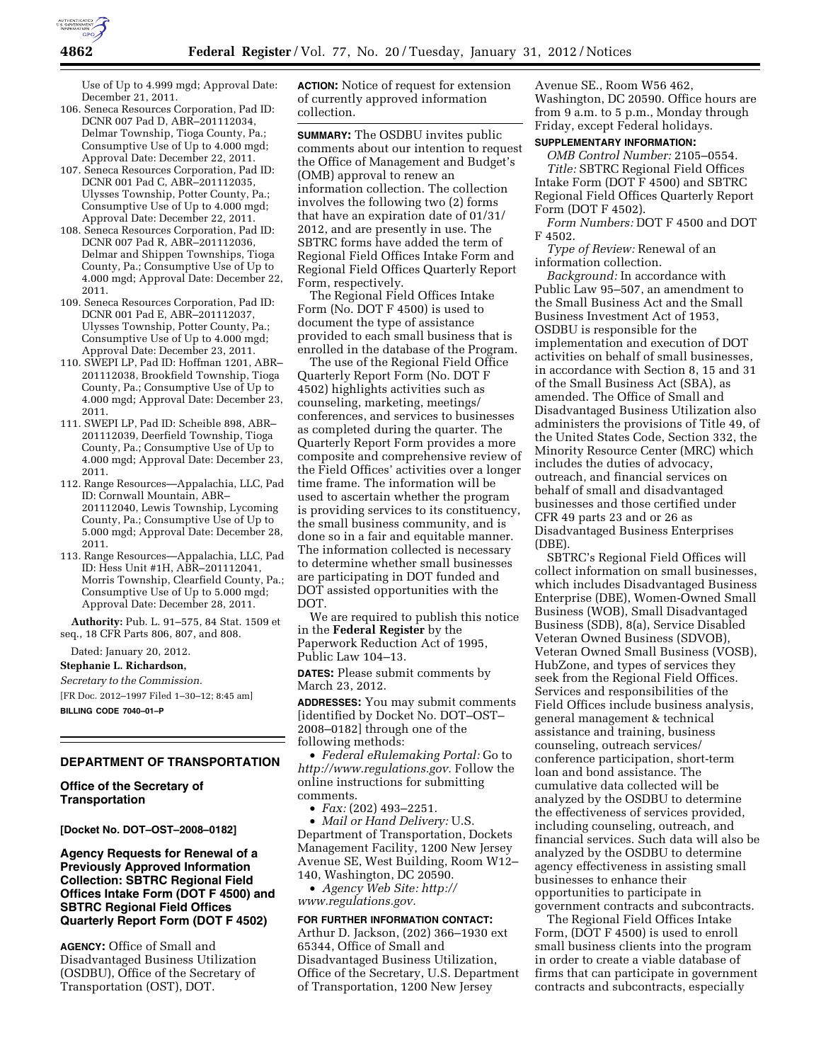

Use of Up to 4.999 mgd; Approval Date: December 21, 2011.

- 106. Seneca Resources Corporation, Pad ID: DCNR 007 Pad D, ABR–201112034, Delmar Township, Tioga County, Pa.; Consumptive Use of Up to 4.000 mgd; Approval Date: December 22, 2011.
- 107. Seneca Resources Corporation, Pad ID: DCNR 001 Pad C, ABR–201112035, Ulysses Township, Potter County, Pa.; Consumptive Use of Up to 4.000 mgd; Approval Date: December 22, 2011.
- 108. Seneca Resources Corporation, Pad ID: DCNR 007 Pad R, ABR–201112036, Delmar and Shippen Townships, Tioga County, Pa.; Consumptive Use of Up to 4.000 mgd; Approval Date: December 22, 2011.
- 109. Seneca Resources Corporation, Pad ID: DCNR 001 Pad E, ABR–201112037, Ulysses Township, Potter County, Pa.; Consumptive Use of Up to 4.000 mgd; Approval Date: December 23, 2011.
- 110. SWEPI LP, Pad ID: Hoffman 1201, ABR– 201112038, Brookfield Township, Tioga County, Pa.; Consumptive Use of Up to 4.000 mgd; Approval Date: December 23, 2011.
- 111. SWEPI LP, Pad ID: Scheible 898, ABR– 201112039, Deerfield Township, Tioga County, Pa.; Consumptive Use of Up to 4.000 mgd; Approval Date: December 23, 2011.
- 112. Range Resources—Appalachia, LLC, Pad ID: Cornwall Mountain, ABR– 201112040, Lewis Township, Lycoming County, Pa.; Consumptive Use of Up to 5.000 mgd; Approval Date: December 28, 2011.
- 113. Range Resources—Appalachia, LLC, Pad ID: Hess Unit #1H, ABR–201112041, Morris Township, Clearfield County, Pa.; Consumptive Use of Up to 5.000 mgd; Approval Date: December 28, 2011.

**Authority:** Pub. L. 91–575, 84 Stat. 1509 et seq., 18 CFR Parts 806, 807, and 808.

Dated: January 20, 2012.

#### **Stephanie L. Richardson,**

*Secretary to the Commission.*  [FR Doc. 2012–1997 Filed 1–30–12; 8:45 am]

**BILLING CODE 7040–01–P** 

### **DEPARTMENT OF TRANSPORTATION**

**Office of the Secretary of Transportation** 

#### **[Docket No. DOT–OST–2008–0182]**

**Agency Requests for Renewal of a Previously Approved Information Collection: SBTRC Regional Field Offices Intake Form (DOT F 4500) and SBTRC Regional Field Offices Quarterly Report Form (DOT F 4502)** 

**AGENCY:** Office of Small and Disadvantaged Business Utilization (OSDBU), Office of the Secretary of Transportation (OST), DOT.

**ACTION:** Notice of request for extension of currently approved information collection.

**SUMMARY:** The OSDBU invites public comments about our intention to request the Office of Management and Budget's (OMB) approval to renew an information collection. The collection involves the following two (2) forms that have an expiration date of 01/31/ 2012, and are presently in use. The SBTRC forms have added the term of Regional Field Offices Intake Form and Regional Field Offices Quarterly Report Form, respectively.

The Regional Field Offices Intake Form (No. DOT F 4500) is used to document the type of assistance provided to each small business that is enrolled in the database of the Program.

The use of the Regional Field Office Quarterly Report Form (No. DOT F 4502) highlights activities such as counseling, marketing, meetings/ conferences, and services to businesses as completed during the quarter. The Quarterly Report Form provides a more composite and comprehensive review of the Field Offices' activities over a longer time frame. The information will be used to ascertain whether the program is providing services to its constituency, the small business community, and is done so in a fair and equitable manner. The information collected is necessary to determine whether small businesses are participating in DOT funded and DOT assisted opportunities with the DOT.

We are required to publish this notice in the **Federal Register** by the Paperwork Reduction Act of 1995, Public Law 104–13.

**DATES:** Please submit comments by March 23, 2012.

**ADDRESSES:** You may submit comments [identified by Docket No. DOT–OST– 2008–0182] through one of the following methods:

• *Federal eRulemaking Portal:* Go to *[http://www.regulations.gov.](http://www.regulations.gov)* Follow the online instructions for submitting comments.

• *Fax:* (202) 493–2251.

• *Mail or Hand Delivery:* U.S. Department of Transportation, Dockets Management Facility, 1200 New Jersey Avenue SE, West Building, Room W12– 140, Washington, DC 20590.

• *Agency Web Site: [http://](http://www.regulations.gov)  [www.regulations.gov.](http://www.regulations.gov)* 

### **FOR FURTHER INFORMATION CONTACT:**

Arthur D. Jackson, (202) 366–1930 ext 65344, Office of Small and Disadvantaged Business Utilization, Office of the Secretary, U.S. Department of Transportation, 1200 New Jersey

Avenue SE., Room W56 462, Washington, DC 20590. Office hours are from 9 a.m. to 5 p.m., Monday through Friday, except Federal holidays.

### **SUPPLEMENTARY INFORMATION:**

*OMB Control Number:* 2105–0554. *Title:* SBTRC Regional Field Offices Intake Form (DOT F 4500) and SBTRC Regional Field Offices Quarterly Report Form (DOT F 4502).

*Form Numbers:* DOT F 4500 and DOT F 4502.

*Type of Review:* Renewal of an information collection.

*Background:* In accordance with Public Law 95–507, an amendment to the Small Business Act and the Small Business Investment Act of 1953, OSDBU is responsible for the implementation and execution of DOT activities on behalf of small businesses, in accordance with Section 8, 15 and 31 of the Small Business Act (SBA), as amended. The Office of Small and Disadvantaged Business Utilization also administers the provisions of Title 49, of the United States Code, Section 332, the Minority Resource Center (MRC) which includes the duties of advocacy, outreach, and financial services on behalf of small and disadvantaged businesses and those certified under CFR 49 parts 23 and or 26 as Disadvantaged Business Enterprises (DBE).

SBTRC's Regional Field Offices will collect information on small businesses, which includes Disadvantaged Business Enterprise (DBE), Women-Owned Small Business (WOB), Small Disadvantaged Business (SDB), 8(a), Service Disabled Veteran Owned Business (SDVOB), Veteran Owned Small Business (VOSB), HubZone, and types of services they seek from the Regional Field Offices. Services and responsibilities of the Field Offices include business analysis, general management & technical assistance and training, business counseling, outreach services/ conference participation, short-term loan and bond assistance. The cumulative data collected will be analyzed by the OSDBU to determine the effectiveness of services provided, including counseling, outreach, and financial services. Such data will also be analyzed by the OSDBU to determine agency effectiveness in assisting small businesses to enhance their opportunities to participate in government contracts and subcontracts.

The Regional Field Offices Intake Form, (DOT F 4500) is used to enroll small business clients into the program in order to create a viable database of firms that can participate in government contracts and subcontracts, especially